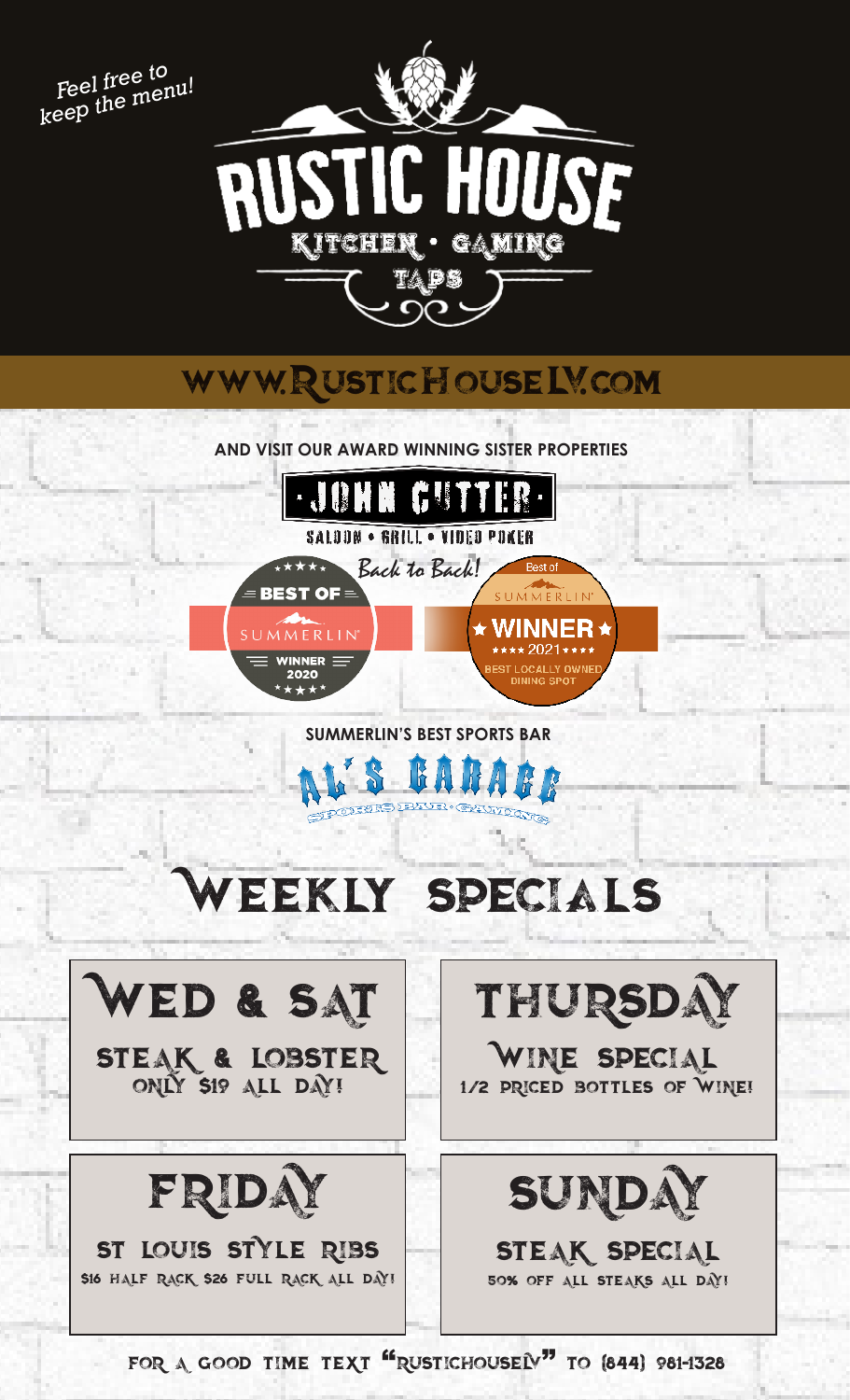



## www.RusticHouselv.com

**AND VISIT OUR AWARD WINNING SISTER PROPERTIES**



## **SUMMERLIN'S BEST SPORTS BAR**

# Weekly Specials



FOR A GOOD TIME TEXT "RUSTICHOUSELV" TO (844) 981-1328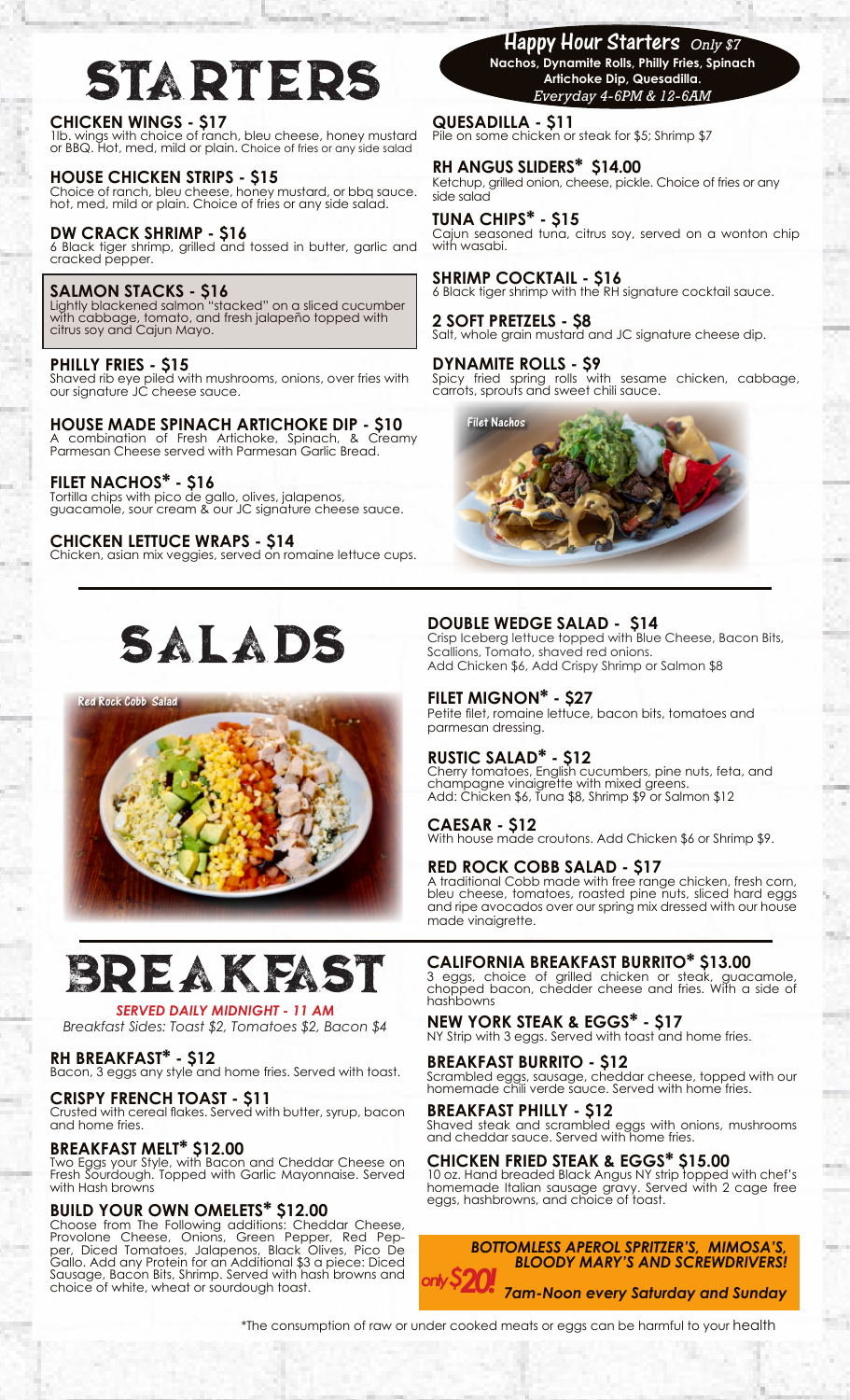# **STARTERS**

#### **CHICKEN WINGS - \$17**

1lb. wings with choice of ranch, bleu cheese, honey mustard or BBQ. Hot, med, mild or plain. Choice of fries or any side salad

#### **HOUSE CHICKEN STRIPS - \$15**

Choice of ranch, bleu cheese, honey mustard, or bbq sauce. hot, med, mild or plain. Choice of fries or any side salad.

#### **DW CRACK SHRIMP - \$16**

6 Black tiger shrimp, grilled and tossed in butter, garlic and cracked pepper.

#### **SALMON STACKS - \$16**

Lightly blackened salmon "stacked" on a sliced cucumber with cabbage, tomato, and fresh jalapeño topped with citrus soy and Cajun Mayo.

#### **PHILLY FRIES - \$15**

Shaved rib eye piled with mushrooms, onions, over fries with our signature JC cheese sauce.

**HOUSE MADE SPINACH ARTICHOKE DIP - \$10** A combination of Fresh Artichoke, Spinach, & Creamy Parmesan Cheese served with Parmesan Garlic Bread.

#### **FILET NACHOS\* - \$16**

Tortilla chips with pico de gallo, olives, jalapenos, guacamole, sour cream & our JC signature cheese sauce.

#### **CHICKEN LETTUCE WRAPS - \$14**

Chicken, asian mix veggies, served on romaine lettuce cups.

# Salads

Red Rock Cobb Salad



## Breakfast

#### *SERVED DAILY MIDNIGHT - 11 AM*

*Breakfast Sides: Toast \$2, Tomatoes \$2, Bacon \$4*

#### **RH BREAKFAST\* - \$12**

Bacon, 3 eggs any style and home fries. Served with toast.

#### **CRISPY FRENCH TOAST - \$11**

Crusted with cereal flakes. Served with butter, syrup, bacon and home fries.

#### **BREAKFAST MELT\* \$12.00**

Two Eggs your Style, with Bacon and Cheddar Cheese on Fresh Sourdough. Topped with Garlic Mayonnaise. Served with Hash browns

#### **BUILD YOUR OWN OMELETS\* \$12.00**

Choose from The Following additions: Cheddar Cheese, Provolone Cheese, Onions, Green Pepper, Red Pep-<br>per, Diced Tomatoes, Jalapenos, Black Olives, Pico De Gallo. Add any Protein for an Additional \$3 a piece: Diced Sausage, Bacon Bits, Shrimp. Served with hash browns and choice of white, wheat or sourdough toast.

## Happy Hour Starters *Only \$7*

**Nachos, Dynamite Rolls, Philly Fries, Spinach Artichoke Dip, Quesadilla.**  *Everyday 4-6PM & 12-6AM*

**QUESADILLA - \$11** Pile on some chicken or steak for \$5; Shrimp \$7

#### **RH ANGUS SLIDERS\* \$14.00**

Ketchup, grilled onion, cheese, pickle. Choice of fries or any side salad

#### **TUNA CHIPS\* - \$15**

Cajun seasoned tuna, citrus soy, served on a wonton chip with wasabi.

#### **SHRIMP COCKTAIL - \$16**

6 Black tiger shrimp with the RH signature cocktail sauce.

#### **2 SOFT PRETZELS - \$8** Salt, whole grain mustard and JC signature cheese dip.

**DYNAMITE ROLLS - \$9** Spicy fried spring rolls with sesame chicken, cabbage, carrots, sprouts and sweet chili sauce.



#### **DOUBLE WEDGE SALAD - \$14**

Crisp Iceberg lettuce topped with Blue Cheese, Bacon Bits, Scallions, Tomato, shaved red onions. Add Chicken \$6, Add Crispy Shrimp or Salmon \$8

#### **FILET MIGNON\* - \$27**

Petite filet, romaine lettuce, bacon bits, tomatoes and parmesan dressing.

#### **RUSTIC SALAD\* - \$12**

Cherry tomatoes, English cucumbers, pine nuts, feta, and champagne vinaigrette with mixed greens. Add: Chicken \$6, Tuna \$8, Shrimp \$9 or Salmon \$12

#### **CAESAR - \$12**

With house made croutons. Add Chicken \$6 or Shrimp \$9.

#### **RED ROCK COBB SALAD - \$17**

A traditional Cobb made with free range chicken, fresh corn, bleu cheese, tomatoes, roasted pine nuts, sliced hard eggs and ripe avocados over our spring mix dressed with our house made vinaigrette.

#### **CALIFORNIA BREAKFAST BURRITO\* \$13.00**

3 eggs, choice of grilled chicken or steak, guacamole, chopped bacon, chedder cheese and fries. With a side of hashbowns

**NEW YORK STEAK & EGGS\* - \$17** NY Strip with 3 eggs. Served with toast and home fries.

### **BREAKFAST BURRITO - \$12**

Scrambled eggs, sausage, cheddar cheese, topped with our homemade chili verde sauce. Served with home fries.

#### **BREAKFAST PHILLY - \$12**

Shaved steak and scrambled eggs with onions, mushrooms and cheddar sauce. Served with home fries.

#### **CHICKEN FRIED STEAK & EGGS\* \$15.00**

10 oz. Hand breaded Black Angus NY strip topped with chef's homemade Italian sausage gravy. Served with 2 cage free eggs, hashbrowns, and choice of toast.



\*The consumption of raw or under cooked meats or eggs can be harmful to your health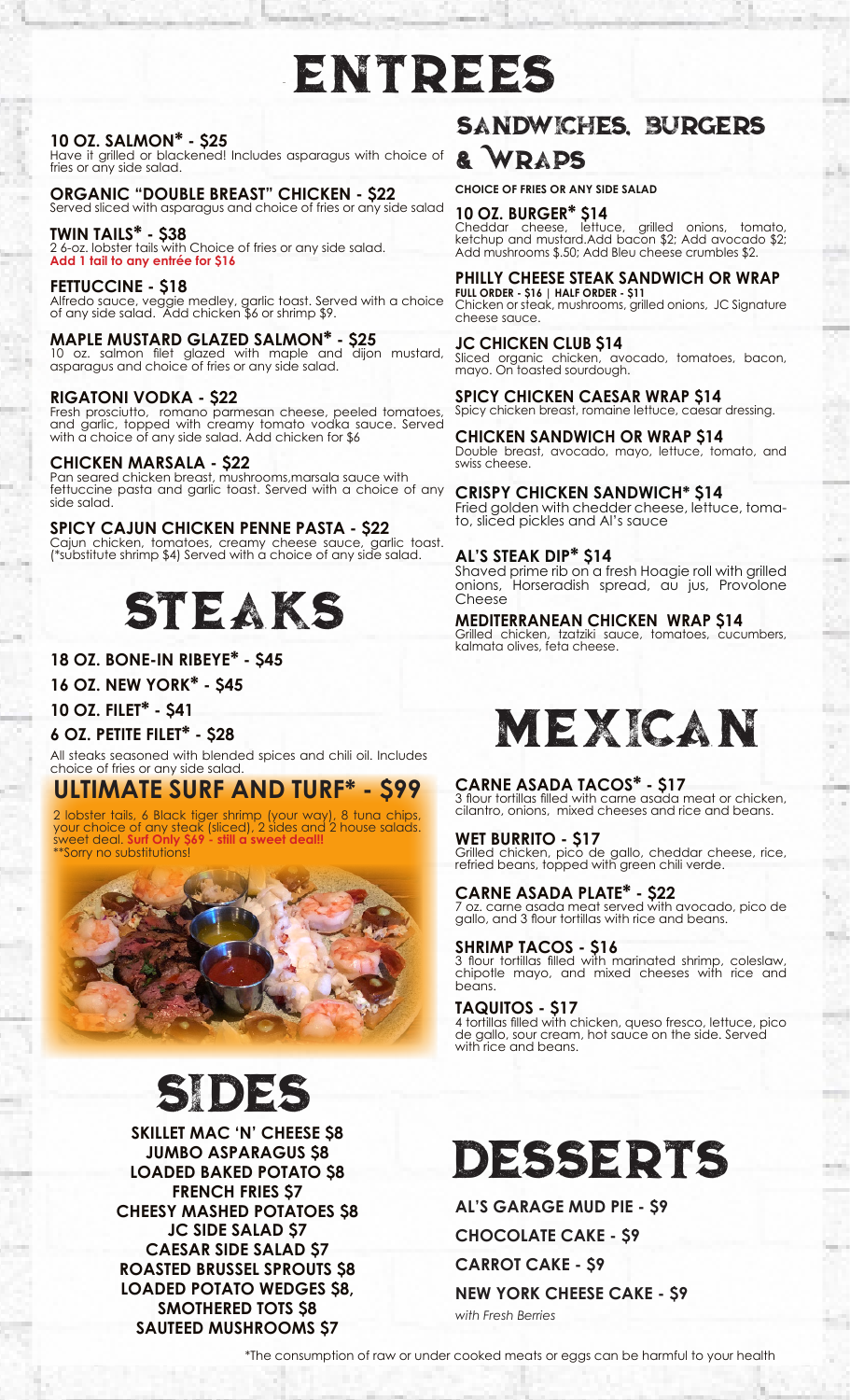# Entrees

#### **10 OZ. SALMON\* - \$25**

Have it grilled or blackened! Includes asparagus with choice of fries or any side salad.

**ORGANIC "DOUBLE BREAST" CHICKEN - \$22** Served sliced with asparagus and choice of fries or any side salad

**TWIN TAILS\* - \$38** 2 6-oz. lobster tails with Choice of fries or any side salad. **Add 1 tail to any entrée for \$16**

**FETTUCCINE - \$18** Alfredo sauce, veggie medley, garlic toast. Served with a choice of any side salad. Add chicken \$6 or shrimp \$9.

**MAPLE MUSTARD GLAZED SALMON\* - \$25** 10 oz. salmon filet glazed with maple and dijon mustard, asparagus and choice of fries or any side salad.

#### **RIGATONI VODKA - \$22**

Fresh prosciutto, romano parmesan cheese, peeled tomatoes, and garlic, topped with creamy tomato vodka sauce. Served with a choice of any side salad. Add chicken for \$6

#### **CHICKEN MARSALA - \$22**

Pan seared chicken breast, mushrooms,marsala sauce with fettuccine pasta and garlic toast. Served with a choice of any side salad.

#### **SPICY CAJUN CHICKEN PENNE PASTA - \$22**

Cajun chicken, tomatoes, creamy cheese sauce, garlic toast. (\*substitute shrimp \$4) Served with a choice of any side salad.



#### **18 OZ. BONE-IN RIBEYE\* - \$45**

**16 OZ. NEW YORK\* - \$45**

**10 OZ. FILET\* - \$41**

#### **6 OZ. PETITE FILET\* - \$28**

All steaks seasoned with blended spices and chili oil. Includes choice of fries or any side salad.

### **ULTIMATE SURF AND TURF\* - \$99**

2 lobster tails, 6 Black tiger shrimp (your way), 8 tuna chips, your choice of any steak (sliced), 2 sides and 2 house salads. sweet deal. **Surf Only \$69 - still a sweet deal!!** \*\*Sorry no substitutions!



# sides

**SKILLET MAC 'N' CHEESE \$8 JUMBO ASPARAGUS \$8 LOADED BAKED POTATO \$8 FRENCH FRIES \$7 CHEESY MASHED POTATOES \$8 JC SIDE SALAD \$7 CAESAR SIDE SALAD \$7 ROASTED BRUSSEL SPROUTS \$8 LOADED POTATO WEDGES \$8, SMOTHERED TOTS \$8 SAUTEED MUSHROOMS \$7**

## Sandwiches, Burgers

### & Wraps

**CHOICE OF FRIES OR ANY SIDE SALAD**

**10 OZ. BURGER\* \$14** Cheddar cheese, lettuce, grilled onions, tomato, ketchup and mustard.Add bacon \$2; Add avocado \$2; Add mushrooms \$.50; Add Bleu cheese crumbles \$2.

#### **PHILLY CHEESE STEAK SANDWICH OR WRAP**

**FULL ORDER - \$16 | HALF ORDER - \$11** Chicken or steak, mushrooms, grilled onions, JC Signature cheese sauce.

**JC CHICKEN CLUB \$14** Sliced organic chicken, avocado, tomatoes, bacon, mayo. On toasted sourdough.

**SPICY CHICKEN CAESAR WRAP \$14** Spicy chicken breast, romaine lettuce, caesar dressing.

**CHICKEN SANDWICH OR WRAP \$14** Double breast, avocado, mayo, lettuce, tomato, and swiss cheese.

**CRISPY CHICKEN SANDWICH\* \$14** Fried golden with chedder cheese, lettuce, tomato, sliced pickles and Al's sauce

#### **AL'S STEAK DIP\* \$14**

Shaved prime rib on a fresh Hoagie roll with grilled onions, Horseradish spread, au jus, Provolone Cheese

**MEDITERRANEAN CHICKEN WRAP \$14** Grilled chicken, tzatziki sauce, tomatoes, cucumbers, kalmata olives, feta cheese.



#### **CARNE ASADA TACOS\* - \$17**

3 flour tortillas filled with carne asada meat or chicken, cilantro, onions, mixed cheeses and rice and beans.

**WET BURRITO - \$17** Grilled chicken, pico de gallo, cheddar cheese, rice, refried beans, topped with green chili verde.

#### **CARNE ASADA PLATE\* - \$22**

7 oz. carne asada meat served with avocado, pico de gallo, and 3 flour tortillas with rice and beans.

#### **SHRIMP TACOS - \$16**

3 flour tortillas filled with marinated shrimp, coleslaw, chipotle mayo, and mixed cheeses with rice and beans.

#### **TAQUITOS - \$17**

4 tortillas filled with chicken, queso fresco, lettuce, pico de gallo, sour cream, hot sauce on the side. Served with rice and beans.

# Desserts

**AL'S GARAGE MUD PIE - \$9**

**CHOCOLATE CAKE - \$9**

**CARROT CAKE - \$9**

**NEW YORK CHEESE CAKE - \$9** *with Fresh Berries*